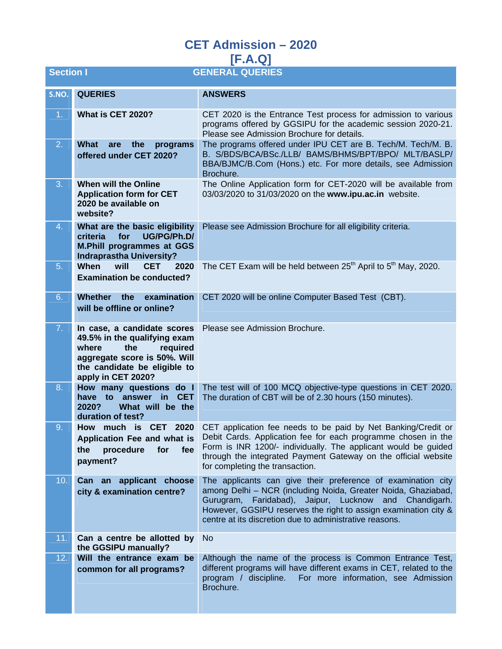| <b>GENERAL QUERIES</b><br><b>Section I</b> |                                                                                                                                                                               |                                                                                                                                                                                                                                                                                                                         |
|--------------------------------------------|-------------------------------------------------------------------------------------------------------------------------------------------------------------------------------|-------------------------------------------------------------------------------------------------------------------------------------------------------------------------------------------------------------------------------------------------------------------------------------------------------------------------|
| S.NO.                                      | <b>QUERIES</b>                                                                                                                                                                | <b>ANSWERS</b>                                                                                                                                                                                                                                                                                                          |
| 1 <sub>1</sub>                             | What is CET 2020?                                                                                                                                                             | CET 2020 is the Entrance Test process for admission to various<br>programs offered by GGSIPU for the academic session 2020-21.<br>Please see Admission Brochure for details.                                                                                                                                            |
| 2.                                         | What<br>are<br>the<br>programs<br>offered under CET 2020?                                                                                                                     | The programs offered under IPU CET are B. Tech/M. Tech/M. B.<br>B. S/BDS/BCA/BSc./LLB/ BAMS/BHMS/BPT/BPO/ MLT/BASLP/<br>BBA/BJMC/B.Com (Hons.) etc. For more details, see Admission<br>Brochure.                                                                                                                        |
| 3.                                         | <b>When will the Online</b><br><b>Application form for CET</b><br>2020 be available on<br>website?                                                                            | The Online Application form for CET-2020 will be available from<br>03/03/2020 to 31/03/2020 on the www.ipu.ac.in website.                                                                                                                                                                                               |
| 4.                                         | What are the basic eligibility<br>criteria<br>for<br>UG/PG/Ph.D/<br><b>M.Phill programmes at GGS</b><br><b>Indraprastha University?</b>                                       | Please see Admission Brochure for all eligibility criteria.                                                                                                                                                                                                                                                             |
| 5.                                         | When<br>will<br><b>CET</b><br>2020<br><b>Examination be conducted?</b>                                                                                                        | The CET Exam will be held between 25 <sup>th</sup> April to 5 <sup>th</sup> May, 2020.                                                                                                                                                                                                                                  |
| 6.                                         | <b>Whether</b><br>the<br>examination<br>will be offline or online?                                                                                                            | CET 2020 will be online Computer Based Test (CBT).                                                                                                                                                                                                                                                                      |
| 7.1                                        | In case, a candidate scores<br>49.5% in the qualifying exam<br>where<br>the<br>required<br>aggregate score is 50%. Will<br>the candidate be eligible to<br>apply in CET 2020? | Please see Admission Brochure.                                                                                                                                                                                                                                                                                          |
| 8.                                         | How many questions do I<br>have to answer<br>in in<br><b>CET</b><br>2020?<br>What will be the<br>duration of test?                                                            | The test will of 100 MCQ objective-type questions in CET 2020.<br>The duration of CBT will be of 2.30 hours (150 minutes).                                                                                                                                                                                              |
| 9.                                         | How much is CET 2020<br>Application Fee and what is<br>fee<br>the<br>procedure<br>for<br>payment?                                                                             | CET application fee needs to be paid by Net Banking/Credit or<br>Debit Cards. Application fee for each programme chosen in the<br>Form is INR 1200/- individually. The applicant would be guided<br>through the integrated Payment Gateway on the official website<br>for completing the transaction.                   |
| 10.                                        | Can an applicant choose<br>city & examination centre?                                                                                                                         | The applicants can give their preference of examination city<br>among Delhi - NCR (including Noida, Greater Noida, Ghaziabad,<br>Faridabad), Jaipur, Lucknow and Chandigarh.<br>Gurugram,<br>However, GGSIPU reserves the right to assign examination city &<br>centre at its discretion due to administrative reasons. |
| 11.                                        | Can a centre be allotted by<br>the GGSIPU manually?                                                                                                                           | N <sub>o</sub>                                                                                                                                                                                                                                                                                                          |
| 12.                                        | Will the entrance exam be<br>common for all programs?                                                                                                                         | Although the name of the process is Common Entrance Test,<br>different programs will have different exams in CET, related to the<br>For more information, see Admission<br>program / discipline.<br>Brochure.                                                                                                           |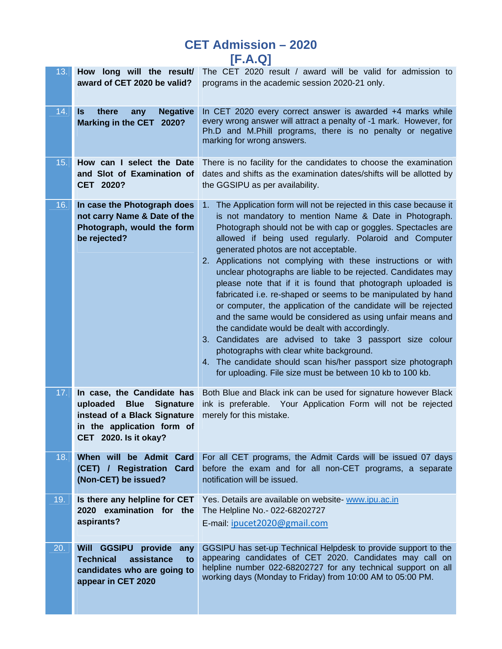| 13. | award of CET 2020 be valid?                                                                                                                            | How long will the result/ The CET 2020 result / award will be valid for admission to<br>programs in the academic session 2020-21 only.                                                                                                                                                                                                                                                                                                                                                                                                                                                                                                                                                                                                                                                                                                                                                                                                                                                            |
|-----|--------------------------------------------------------------------------------------------------------------------------------------------------------|---------------------------------------------------------------------------------------------------------------------------------------------------------------------------------------------------------------------------------------------------------------------------------------------------------------------------------------------------------------------------------------------------------------------------------------------------------------------------------------------------------------------------------------------------------------------------------------------------------------------------------------------------------------------------------------------------------------------------------------------------------------------------------------------------------------------------------------------------------------------------------------------------------------------------------------------------------------------------------------------------|
| 14. | there<br><b>Negative</b><br>Is.<br>any<br><b>Marking in the CET</b><br>2020?                                                                           | In CET 2020 every correct answer is awarded +4 marks while<br>every wrong answer will attract a penalty of -1 mark. However, for<br>Ph.D and M.Phill programs, there is no penalty or negative<br>marking for wrong answers.                                                                                                                                                                                                                                                                                                                                                                                                                                                                                                                                                                                                                                                                                                                                                                      |
| 15. | How can I select the Date<br>and Slot of Examination of<br>CET 2020?                                                                                   | There is no facility for the candidates to choose the examination<br>dates and shifts as the examination dates/shifts will be allotted by<br>the GGSIPU as per availability.                                                                                                                                                                                                                                                                                                                                                                                                                                                                                                                                                                                                                                                                                                                                                                                                                      |
| 16. | In case the Photograph does<br>not carry Name & Date of the<br>Photograph, would the form<br>be rejected?                                              | The Application form will not be rejected in this case because it<br>$1_{-}$<br>is not mandatory to mention Name & Date in Photograph.<br>Photograph should not be with cap or goggles. Spectacles are<br>allowed if being used regularly. Polaroid and Computer<br>generated photos are not acceptable.<br>2. Applications not complying with these instructions or with<br>unclear photographs are liable to be rejected. Candidates may<br>please note that if it is found that photograph uploaded is<br>fabricated i.e. re-shaped or seems to be manipulated by hand<br>or computer, the application of the candidate will be rejected<br>and the same would be considered as using unfair means and<br>the candidate would be dealt with accordingly.<br>3. Candidates are advised to take 3 passport size colour<br>photographs with clear white background.<br>4. The candidate should scan his/her passport size photograph<br>for uploading. File size must be between 10 kb to 100 kb. |
| 17. | In case, the Candidate has<br>uploaded Blue<br><b>Signature</b><br>instead of a Black Signature<br>in the application form of<br>CET 2020. Is it okay? | Both Blue and Black ink can be used for signature however Black<br>ink is preferable. Your Application Form will not be rejected<br>merely for this mistake.                                                                                                                                                                                                                                                                                                                                                                                                                                                                                                                                                                                                                                                                                                                                                                                                                                      |
| 18. | When will be Admit Card<br>(CET) / Registration<br><b>Card</b><br>(Non-CET) be issued?                                                                 | For all CET programs, the Admit Cards will be issued 07 days<br>before the exam and for all non-CET programs, a separate<br>notification will be issued.                                                                                                                                                                                                                                                                                                                                                                                                                                                                                                                                                                                                                                                                                                                                                                                                                                          |
| 19. | Is there any helpline for CET<br>2020 examination for the<br>aspirants?                                                                                | Yes. Details are available on website- www.ipu.ac.in<br>The Helpline No.- 022-68202727<br>E-mail: ipucet2020@gmail.com                                                                                                                                                                                                                                                                                                                                                                                                                                                                                                                                                                                                                                                                                                                                                                                                                                                                            |
| 20. | <b>GGSIPU</b><br>provide<br>Will<br>any<br><b>Technical</b><br>assistance<br>to<br>candidates who are going to<br>appear in CET 2020                   | GGSIPU has set-up Technical Helpdesk to provide support to the<br>appearing candidates of CET 2020. Candidates may call on<br>helpline number 022-68202727 for any technical support on all<br>working days (Monday to Friday) from 10:00 AM to 05:00 PM.                                                                                                                                                                                                                                                                                                                                                                                                                                                                                                                                                                                                                                                                                                                                         |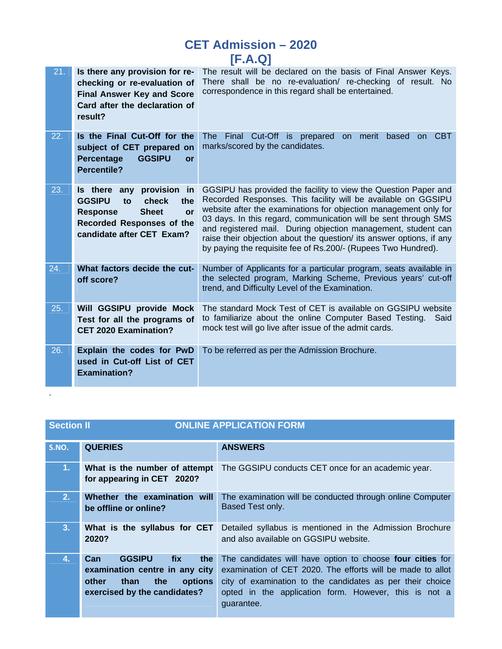| 21. | Is there any provision for re-<br>checking or re-evaluation of<br><b>Final Answer Key and Score</b><br>Card after the declaration of<br>result?                               | The result will be declared on the basis of Final Answer Keys.<br>There shall be no re-evaluation/ re-checking of result. No<br>correspondence in this regard shall be entertained.                                                                                                                                                                                                                                                                                               |
|-----|-------------------------------------------------------------------------------------------------------------------------------------------------------------------------------|-----------------------------------------------------------------------------------------------------------------------------------------------------------------------------------------------------------------------------------------------------------------------------------------------------------------------------------------------------------------------------------------------------------------------------------------------------------------------------------|
| 22. | Is the Final Cut-Off for the<br>subject of CET prepared on<br><b>Percentage</b><br><b>GGSIPU</b><br>or<br><b>Percentile?</b>                                                  | on CBT<br>Final Cut-Off is prepared<br>The:<br>merit based<br><b>on</b><br>marks/scored by the candidates.                                                                                                                                                                                                                                                                                                                                                                        |
| 23. | Is there any<br>provision in<br><b>GGSIPU</b><br>check<br>the<br>to<br><b>Sheet</b><br><b>Response</b><br>or<br><b>Recorded Responses of the</b><br>candidate after CET Exam? | GGSIPU has provided the facility to view the Question Paper and<br>Recorded Responses. This facility will be available on GGSIPU<br>website after the examinations for objection management only for<br>03 days. In this regard, communication will be sent through SMS<br>and registered mail. During objection management, student can<br>raise their objection about the question/ its answer options, if any<br>by paying the requisite fee of Rs.200/- (Rupees Two Hundred). |
| 24. | What factors decide the cut-<br>off score?                                                                                                                                    | Number of Applicants for a particular program, seats available in<br>the selected program, Marking Scheme, Previous years' cut-off<br>trend, and Difficulty Level of the Examination.                                                                                                                                                                                                                                                                                             |
| 25. | Will GGSIPU provide Mock<br>Test for all the programs of<br><b>CET 2020 Examination?</b>                                                                                      | The standard Mock Test of CET is available on GGSIPU website<br>to familiarize about the online Computer Based Testing.<br>Said<br>mock test will go live after issue of the admit cards.                                                                                                                                                                                                                                                                                         |
| 26. | Explain the codes for PwD<br>used in Cut-off List of CET<br><b>Examination?</b>                                                                                               | To be referred as per the Admission Brochure.                                                                                                                                                                                                                                                                                                                                                                                                                                     |

| <b>ONLINE APPLICATION FORM</b><br><b>Section II</b> |                                                                                                                                         |                                                                                                                                                                                                                                                             |
|-----------------------------------------------------|-----------------------------------------------------------------------------------------------------------------------------------------|-------------------------------------------------------------------------------------------------------------------------------------------------------------------------------------------------------------------------------------------------------------|
| S.NO.                                               | <b>QUERIES</b>                                                                                                                          | <b>ANSWERS</b>                                                                                                                                                                                                                                              |
| 1.                                                  | What is the number of attempt<br>for appearing in CET 2020?                                                                             | The GGSIPU conducts CET once for an academic year.                                                                                                                                                                                                          |
| 2.                                                  | Whether the examination will<br>be offline or online?                                                                                   | The examination will be conducted through online Computer<br>Based Test only.                                                                                                                                                                               |
| 3.                                                  | What is the syllabus for CET<br>2020?                                                                                                   | Detailed syllabus is mentioned in the Admission Brochure<br>and also available on GGSIPU website.                                                                                                                                                           |
| 4.                                                  | Can<br><b>GGSIPU</b><br>fix<br>the<br>examination centre in any city<br>other<br>than<br>the<br>options<br>exercised by the candidates? | The candidates will have option to choose four cities for<br>examination of CET 2020. The efforts will be made to allot<br>city of examination to the candidates as per their choice<br>opted in the application form. However, this is not a<br>guarantee. |

.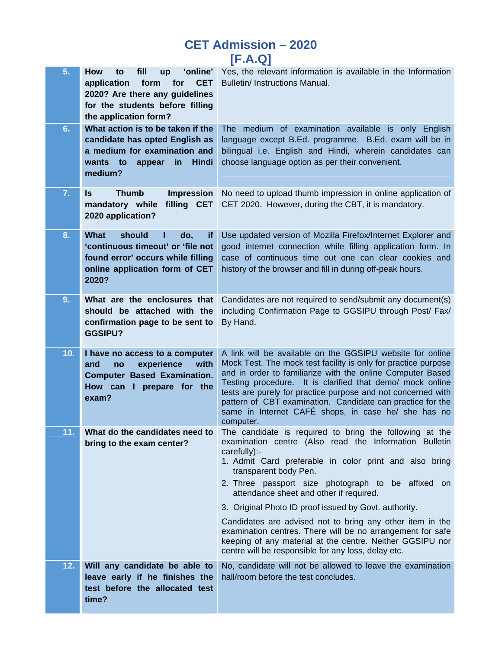| 5.  | 'online'<br>How<br>fill<br>to<br><b>up</b><br>application<br>form<br>for<br><b>CET</b><br>2020? Are there any guidelines<br>for the students before filling<br>the application form? | Yes, the relevant information is available in the Information<br>Bulletin/ Instructions Manual.                                                                                                                                                                                                                                                                                                                                                                                                                                                                                                                               |
|-----|--------------------------------------------------------------------------------------------------------------------------------------------------------------------------------------|-------------------------------------------------------------------------------------------------------------------------------------------------------------------------------------------------------------------------------------------------------------------------------------------------------------------------------------------------------------------------------------------------------------------------------------------------------------------------------------------------------------------------------------------------------------------------------------------------------------------------------|
| 6.  | What action is to be taken if the<br>candidate has opted English as<br>a medium for examination and<br>wants to<br>Hindi<br>appear<br>in<br>medium?                                  | The medium of examination available is only English<br>language except B.Ed. programme. B.Ed. exam will be in<br>bilingual i.e. English and Hindi, wherein candidates can<br>choose language option as per their convenient.                                                                                                                                                                                                                                                                                                                                                                                                  |
| 7.  | <b>Thumb</b><br><b>Impression</b><br>Is<br>filling CET<br>mandatory while<br>2020 application?                                                                                       | No need to upload thumb impression in online application of<br>CET 2020. However, during the CBT, it is mandatory.                                                                                                                                                                                                                                                                                                                                                                                                                                                                                                            |
| 8.  | <b>What</b><br>should<br>do,<br>if.<br>'continuous timeout' or 'file not<br>found error' occurs while filling<br>online application form of CET<br>2020?                             | Use updated version of Mozilla Firefox/Internet Explorer and<br>good internet connection while filling application form. In<br>case of continuous time out one can clear cookies and<br>history of the browser and fill in during off-peak hours.                                                                                                                                                                                                                                                                                                                                                                             |
| 9.  | What are the enclosures that<br>should be attached with the<br>confirmation page to be sent to<br><b>GGSIPU?</b>                                                                     | Candidates are not required to send/submit any document(s)<br>including Confirmation Page to GGSIPU through Post/ Fax/<br>By Hand.                                                                                                                                                                                                                                                                                                                                                                                                                                                                                            |
| 10. | I have no access to a computer<br>experience<br>with<br>and<br>no<br><b>Computer Based Examination.</b><br>How can I prepare for the<br>exam?                                        | A link will be available on the GGSIPU website for online<br>Mock Test. The mock test facility is only for practice purpose<br>and in order to familiarize with the online Computer Based<br>Testing procedure. It is clarified that demo/ mock online<br>tests are purely for practice purpose and not concerned with<br>pattern of CBT examination. Candidate can practice for the<br>same in Internet CAFÉ shops, in case he/ she has no<br>computer.                                                                                                                                                                      |
| 11. | What do the candidates need to<br>bring to the exam center?                                                                                                                          | The candidate is required to bring the following at the<br>examination centre (Also read the Information Bulletin<br>carefully):-<br>1. Admit Card preferable in color print and also bring<br>transparent body Pen.<br>2. Three passport size photograph to be affixed on<br>attendance sheet and other if required.<br>3. Original Photo ID proof issued by Govt. authority.<br>Candidates are advised not to bring any other item in the<br>examination centres. There will be no arrangement for safe<br>keeping of any material at the centre. Neither GGSIPU nor<br>centre will be responsible for any loss, delay etc. |
| 12. | Will any candidate be able to<br>leave early if he finishes the<br>test before the allocated test<br>time?                                                                           | No, candidate will not be allowed to leave the examination<br>hall/room before the test concludes.                                                                                                                                                                                                                                                                                                                                                                                                                                                                                                                            |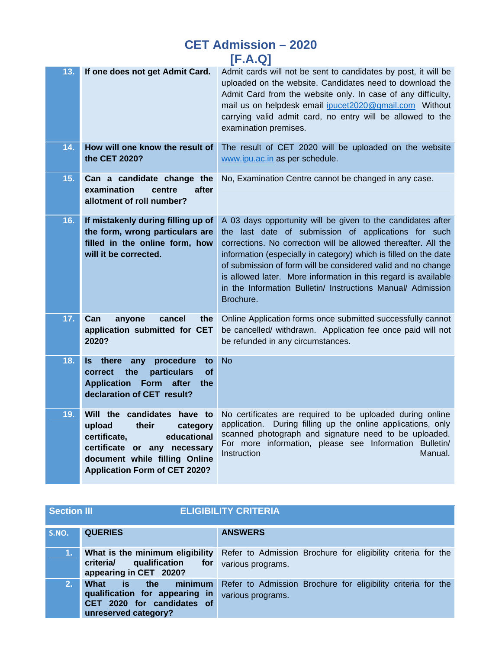| 13. | If one does not get Admit Card.                                                                                                                                                                    | Admit cards will not be sent to candidates by post, it will be<br>uploaded on the website. Candidates need to download the<br>Admit Card from the website only. In case of any difficulty,<br>mail us on helpdesk email ipucet2020@gmail.com Without<br>carrying valid admit card, no entry will be allowed to the<br>examination premises.                                                                                                                             |
|-----|----------------------------------------------------------------------------------------------------------------------------------------------------------------------------------------------------|-------------------------------------------------------------------------------------------------------------------------------------------------------------------------------------------------------------------------------------------------------------------------------------------------------------------------------------------------------------------------------------------------------------------------------------------------------------------------|
| 14. | How will one know the result of<br>the CET 2020?                                                                                                                                                   | The result of CET 2020 will be uploaded on the website<br>www.ipu.ac.in as per schedule.                                                                                                                                                                                                                                                                                                                                                                                |
| 15. | Can a candidate change the<br>examination<br>centre<br>after<br>allotment of roll number?                                                                                                          | No, Examination Centre cannot be changed in any case.                                                                                                                                                                                                                                                                                                                                                                                                                   |
| 16. | If mistakenly during filling up of<br>the form, wrong particulars are<br>filled in the online form, how<br>will it be corrected.                                                                   | A 03 days opportunity will be given to the candidates after<br>the last date of submission of applications for such<br>corrections. No correction will be allowed thereafter. All the<br>information (especially in category) which is filled on the date<br>of submission of form will be considered valid and no change<br>is allowed later. More information in this regard is available<br>in the Information Bulletin/ Instructions Manual/ Admission<br>Brochure. |
| 17. | Can<br>anyone<br>cancel<br>the <b>the</b><br>application submitted for CET<br>2020?                                                                                                                | Online Application forms once submitted successfully cannot<br>be cancelled/ withdrawn. Application fee once paid will not<br>be refunded in any circumstances.                                                                                                                                                                                                                                                                                                         |
| 18. | procedure<br>ls.<br>there<br>any<br>to<br>correct<br>the<br>particulars<br>οf<br><b>Application Form</b><br>after<br>the<br>declaration of CET result?                                             | <b>No</b>                                                                                                                                                                                                                                                                                                                                                                                                                                                               |
| 19. | Will the candidates have to<br>upload<br>their<br>category<br>certificate,<br>educational<br>certificate or any necessary<br>document while filling Online<br><b>Application Form of CET 2020?</b> | No certificates are required to be uploaded during online<br>application. During filling up the online applications, only<br>scanned photograph and signature need to be uploaded.<br>For more information, please see Information Bulletin/<br>Instruction<br>Manual.                                                                                                                                                                                                  |

| <b>Section III</b> |                                                                                                                | <b>ELIGIBILITY CRITERIA</b>                                                       |
|--------------------|----------------------------------------------------------------------------------------------------------------|-----------------------------------------------------------------------------------|
| S.NO.              | <b>QUERIES</b>                                                                                                 | <b>ANSWERS</b>                                                                    |
| 1.                 | What is the minimum eligibility<br>criteria/ qualification for<br>appearing in CET 2020?                       | Refer to Admission Brochure for eligibility criteria for the<br>various programs. |
| 2.                 | minimum<br>What is the<br>qualification for appearing in<br>CET 2020 for candidates of<br>unreserved category? | Refer to Admission Brochure for eligibility criteria for the<br>various programs. |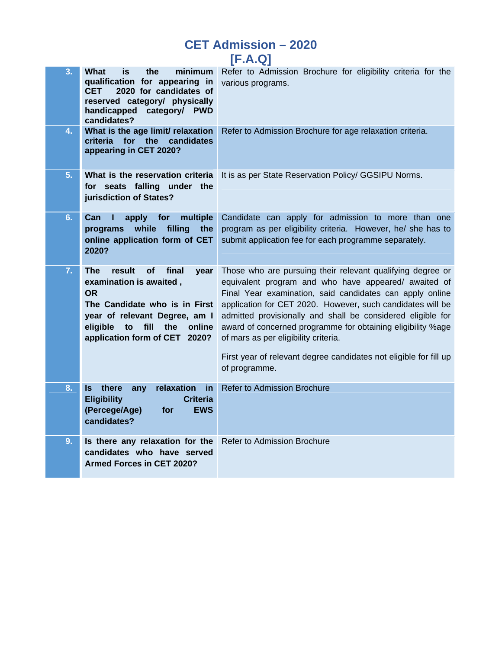| <b>CET Admission - 2020</b> |         |  |
|-----------------------------|---------|--|
|                             | [F.A.Q] |  |

|    |                                                                                                                                                                                                                                   | $\mathbf{r}$ . $\mathbf{r}$                                                                                                                                                                                                                                                                                                                                                                                                                                                                              |
|----|-----------------------------------------------------------------------------------------------------------------------------------------------------------------------------------------------------------------------------------|----------------------------------------------------------------------------------------------------------------------------------------------------------------------------------------------------------------------------------------------------------------------------------------------------------------------------------------------------------------------------------------------------------------------------------------------------------------------------------------------------------|
| 3. | What<br>minimum<br>is<br>the<br>qualification for appearing in<br>2020 for candidates of<br><b>CET</b><br>reserved category/ physically<br>handicapped category/ PWD<br>candidates?                                               | Refer to Admission Brochure for eligibility criteria for the<br>various programs.                                                                                                                                                                                                                                                                                                                                                                                                                        |
| 4. | What is the age limit/ relaxation<br>criteria<br>for<br>the<br>candidates<br>appearing in CET 2020?                                                                                                                               | Refer to Admission Brochure for age relaxation criteria.                                                                                                                                                                                                                                                                                                                                                                                                                                                 |
| 5. | What is the reservation criteria<br>for seats falling under the<br>jurisdiction of States?                                                                                                                                        | It is as per State Reservation Policy/ GGSIPU Norms.                                                                                                                                                                                                                                                                                                                                                                                                                                                     |
| 6. | Can<br>apply<br>for<br>multiple<br>while<br>filling<br>programs<br>the<br>online application form of CET<br>2020?                                                                                                                 | Candidate can apply for admission to more than one<br>program as per eligibility criteria. However, he/ she has to<br>submit application fee for each programme separately.                                                                                                                                                                                                                                                                                                                              |
| 7. | The<br>result<br><b>of</b><br>final<br>year<br>examination is awaited,<br><b>OR</b><br>The Candidate who is in First<br>year of relevant Degree, am I<br>eligible<br>to<br>fill<br>the<br>online<br>application form of CET 2020? | Those who are pursuing their relevant qualifying degree or<br>equivalent program and who have appeared/ awaited of<br>Final Year examination, said candidates can apply online<br>application for CET 2020. However, such candidates will be<br>admitted provisionally and shall be considered eligible for<br>award of concerned programme for obtaining eligibility %age<br>of mars as per eligibility criteria.<br>First year of relevant degree candidates not eligible for fill up<br>of programme. |
| 8. | Is there<br>any<br>relaxation<br>in<br><b>Eligibility</b><br><b>Criteria</b><br>(Percege/Age)<br><b>EWS</b><br>for<br>candidates?                                                                                                 | <b>Refer to Admission Brochure</b>                                                                                                                                                                                                                                                                                                                                                                                                                                                                       |
| 9. | Is there any relaxation for the<br>candidates who have served<br><b>Armed Forces in CET 2020?</b>                                                                                                                                 | Refer to Admission Brochure                                                                                                                                                                                                                                                                                                                                                                                                                                                                              |